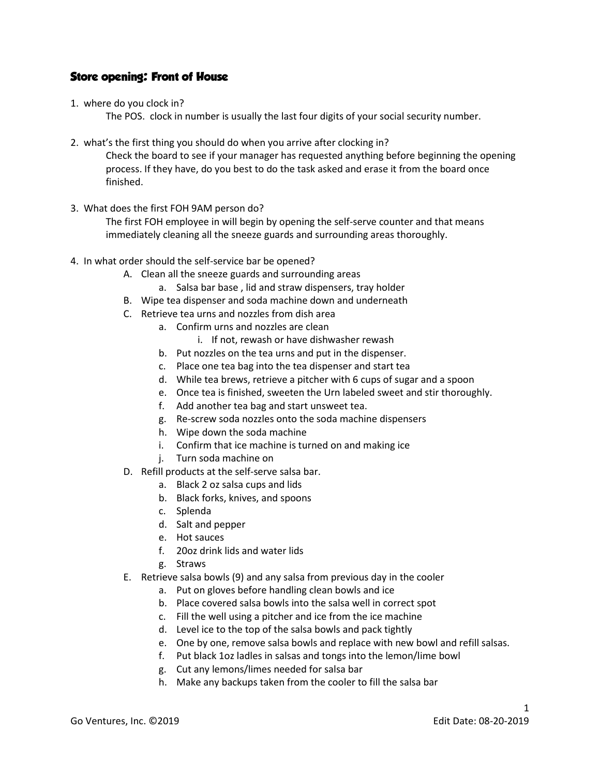## Store opening: Front of House

1. where do you clock in?

The POS. clock in number is usually the last four digits of your social security number.

2. what's the first thing you should do when you arrive after clocking in?

Check the board to see if your manager has requested anything before beginning the opening process. If they have, do you best to do the task asked and erase it from the board once finished.

3. What does the first FOH 9AM person do?

The first FOH employee in will begin by opening the self-serve counter and that means immediately cleaning all the sneeze guards and surrounding areas thoroughly.

- 4. In what order should the self-service bar be opened?
	- A. Clean all the sneeze guards and surrounding areas
		- a. Salsa bar base , lid and straw dispensers, tray holder
	- B. Wipe tea dispenser and soda machine down and underneath
	- C. Retrieve tea urns and nozzles from dish area
		- a. Confirm urns and nozzles are clean
			- i. If not, rewash or have dishwasher rewash
		- b. Put nozzles on the tea urns and put in the dispenser.
		- c. Place one tea bag into the tea dispenser and start tea
		- d. While tea brews, retrieve a pitcher with 6 cups of sugar and a spoon
		- e. Once tea is finished, sweeten the Urn labeled sweet and stir thoroughly.
		- f. Add another tea bag and start unsweet tea.
		- g. Re-screw soda nozzles onto the soda machine dispensers
		- h. Wipe down the soda machine
		- i. Confirm that ice machine is turned on and making ice
		- j. Turn soda machine on
	- D. Refill products at the self-serve salsa bar.
		- a. Black 2 oz salsa cups and lids
		- b. Black forks, knives, and spoons
		- c. Splenda
		- d. Salt and pepper
		- e. Hot sauces
		- f. 20oz drink lids and water lids
		- g. Straws
	- E. Retrieve salsa bowls (9) and any salsa from previous day in the cooler
		- a. Put on gloves before handling clean bowls and ice
		- b. Place covered salsa bowls into the salsa well in correct spot
		- c. Fill the well using a pitcher and ice from the ice machine
		- d. Level ice to the top of the salsa bowls and pack tightly
		- e. One by one, remove salsa bowls and replace with new bowl and refill salsas.
		- f. Put black 1oz ladles in salsas and tongs into the lemon/lime bowl
		- g. Cut any lemons/limes needed for salsa bar
		- h. Make any backups taken from the cooler to fill the salsa bar